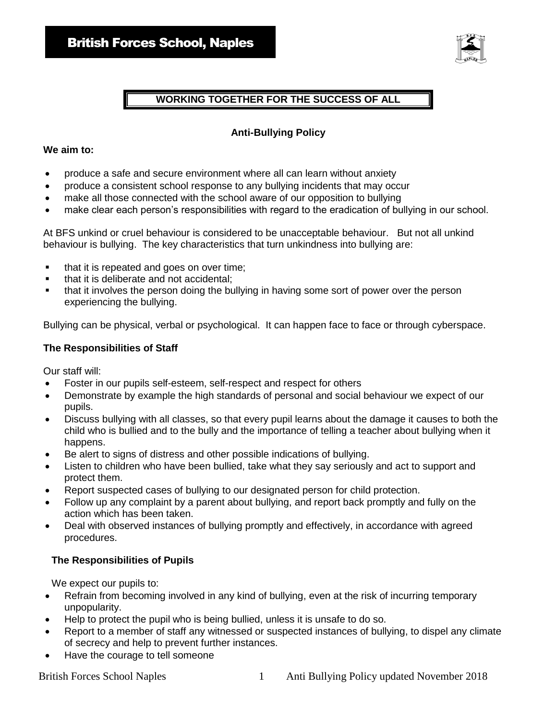

## **WORKING TOGETHER FOR THE SUCCESS OF ALL**

### **Anti-Bullying Policy**

#### **We aim to:**

- produce a safe and secure environment where all can learn without anxiety
- produce a consistent school response to any bullying incidents that may occur
- make all those connected with the school aware of our opposition to bullying
- make clear each person's responsibilities with regard to the eradication of bullying in our school.

At BFS unkind or cruel behaviour is considered to be unacceptable behaviour. But not all unkind behaviour is bullying. The key characteristics that turn unkindness into bullying are:

- that it is repeated and goes on over time;
- that it is deliberate and not accidental;
- that it involves the person doing the bullying in having some sort of power over the person experiencing the bullying.

Bullying can be physical, verbal or psychological. It can happen face to face or through cyberspace.

#### **The Responsibilities of Staff**

Our staff will:

- Foster in our pupils self-esteem, self-respect and respect for others
- Demonstrate by example the high standards of personal and social behaviour we expect of our pupils.
- Discuss bullying with all classes, so that every pupil learns about the damage it causes to both the child who is bullied and to the bully and the importance of telling a teacher about bullying when it happens.
- Be alert to signs of distress and other possible indications of bullying.
- Listen to children who have been bullied, take what they say seriously and act to support and protect them.
- Report suspected cases of bullying to our designated person for child protection.
- Follow up any complaint by a parent about bullying, and report back promptly and fully on the action which has been taken.
- Deal with observed instances of bullying promptly and effectively, in accordance with agreed procedures.

#### **The Responsibilities of Pupils**

We expect our pupils to:

- Refrain from becoming involved in any kind of bullying, even at the risk of incurring temporary unpopularity.
- Help to protect the pupil who is being bullied, unless it is unsafe to do so.
- Report to a member of staff any witnessed or suspected instances of bullying, to dispel any climate of secrecy and help to prevent further instances.
- Have the courage to tell someone

British Forces School Naples 1 Anti Bullying Policy updated November 2018